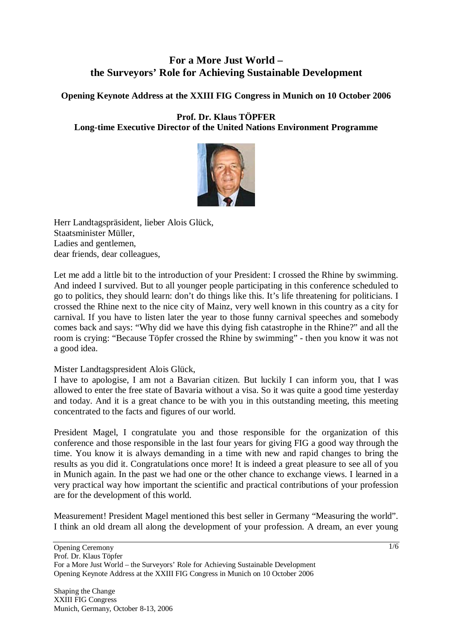## **For a More Just World – the Surveyors' Role for Achieving Sustainable Development**

**Opening Keynote Address at the XXIII FIG Congress in Munich on 10 October 2006** 

## **Prof. Dr. Klaus TÖPFER Long-time Executive Director of the United Nations Environment Programme**



Herr Landtagspräsident, lieber Alois Glück, Staatsminister Müller, Ladies and gentlemen, dear friends, dear colleagues,

Let me add a little bit to the introduction of your President: I crossed the Rhine by swimming. And indeed I survived. But to all younger people participating in this conference scheduled to go to politics, they should learn: don't do things like this. It's life threatening for politicians. I crossed the Rhine next to the nice city of Mainz, very well known in this country as a city for carnival. If you have to listen later the year to those funny carnival speeches and somebody comes back and says: "Why did we have this dying fish catastrophe in the Rhine?" and all the room is crying: "Because Töpfer crossed the Rhine by swimming" - then you know it was not a good idea.

## Mister Landtagspresident Alois Glück,

I have to apologise, I am not a Bavarian citizen. But luckily I can inform you, that I was allowed to enter the free state of Bavaria without a visa. So it was quite a good time yesterday and today. And it is a great chance to be with you in this outstanding meeting, this meeting concentrated to the facts and figures of our world.

President Magel, I congratulate you and those responsible for the organization of this conference and those responsible in the last four years for giving FIG a good way through the time. You know it is always demanding in a time with new and rapid changes to bring the results as you did it. Congratulations once more! It is indeed a great pleasure to see all of you in Munich again. In the past we had one or the other chance to exchange views. I learned in a very practical way how important the scientific and practical contributions of your profession are for the development of this world.

Measurement! President Magel mentioned this best seller in Germany "Measuring the world". I think an old dream all along the development of your profession. A dream, an ever young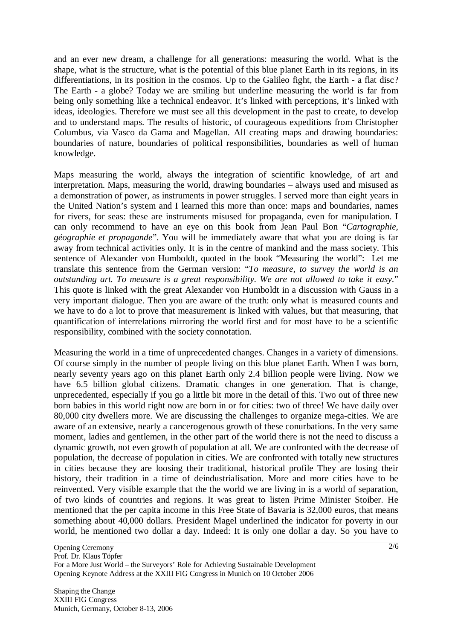and an ever new dream, a challenge for all generations: measuring the world. What is the shape, what is the structure, what is the potential of this blue planet Earth in its regions, in its differentiations, in its position in the cosmos. Up to the Galileo fight, the Earth - a flat disc? The Earth - a globe? Today we are smiling but underline measuring the world is far from being only something like a technical endeavor. It's linked with perceptions, it's linked with ideas, ideologies. Therefore we must see all this development in the past to create, to develop and to understand maps. The results of historic, of courageous expeditions from Christopher Columbus, via Vasco da Gama and Magellan. All creating maps and drawing boundaries: boundaries of nature, boundaries of political responsibilities, boundaries as well of human knowledge.

Maps measuring the world, always the integration of scientific knowledge, of art and interpretation. Maps, measuring the world, drawing boundaries – always used and misused as a demonstration of power, as instruments in power struggles. I served more than eight years in the United Nation's system and I learned this more than once: maps and boundaries, names for rivers, for seas: these are instruments misused for propaganda, even for manipulation. I can only recommend to have an eye on this book from Jean Paul Bon "*Cartographie, géographie et propagande*". You will be immediately aware that what you are doing is far away from technical activities only. It is in the centre of mankind and the mass society. This sentence of Alexander von Humboldt, quoted in the book "Measuring the world": Let me translate this sentence from the German version: "*To measure, to survey the world is an outstanding art. To measure is a great responsibility. We are not allowed to take it easy*." This quote is linked with the great Alexander von Humboldt in a discussion with Gauss in a very important dialogue. Then you are aware of the truth: only what is measured counts and we have to do a lot to prove that measurement is linked with values, but that measuring, that quantification of interrelations mirroring the world first and for most have to be a scientific responsibility, combined with the society connotation.

Measuring the world in a time of unprecedented changes. Changes in a variety of dimensions. Of course simply in the number of people living on this blue planet Earth. When I was born, nearly seventy years ago on this planet Earth only 2.4 billion people were living. Now we have 6.5 billion global citizens. Dramatic changes in one generation. That is change, unprecedented, especially if you go a little bit more in the detail of this. Two out of three new born babies in this world right now are born in or for cities: two of three! We have daily over 80,000 city dwellers more. We are discussing the challenges to organize mega-cities. We are aware of an extensive, nearly a cancerogenous growth of these conurbations. In the very same moment, ladies and gentlemen, in the other part of the world there is not the need to discuss a dynamic growth, not even growth of population at all. We are confronted with the decrease of population, the decrease of population in cities. We are confronted with totally new structures in cities because they are loosing their traditional, historical profile They are losing their history, their tradition in a time of deindustrialisation. More and more cities have to be reinvented. Very visible example that the the world we are living in is a world of separation, of two kinds of countries and regions. It was great to listen Prime Minister Stoiber. He mentioned that the per capita income in this Free State of Bavaria is 32,000 euros, that means something about 40,000 dollars. President Magel underlined the indicator for poverty in our world, he mentioned two dollar a day. Indeed: It is only one dollar a day. So you have to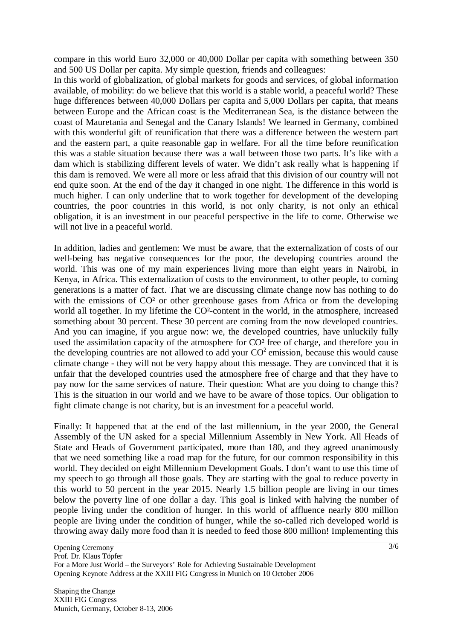compare in this world Euro 32,000 or 40,000 Dollar per capita with something between 350 and 500 US Dollar per capita. My simple question, friends and colleagues:

In this world of globalization, of global markets for goods and services, of global information available, of mobility: do we believe that this world is a stable world, a peaceful world? These huge differences between 40,000 Dollars per capita and 5,000 Dollars per capita, that means between Europe and the African coast is the Mediterranean Sea, is the distance between the coast of Mauretania and Senegal and the Canary Islands! We learned in Germany, combined with this wonderful gift of reunification that there was a difference between the western part and the eastern part, a quite reasonable gap in welfare. For all the time before reunification this was a stable situation because there was a wall between those two parts. It's like with a dam which is stabilizing different levels of water. We didn't ask really what is happening if this dam is removed. We were all more or less afraid that this division of our country will not end quite soon. At the end of the day it changed in one night. The difference in this world is much higher. I can only underline that to work together for development of the developing countries, the poor countries in this world, is not only charity, is not only an ethical obligation, it is an investment in our peaceful perspective in the life to come. Otherwise we will not live in a peaceful world.

In addition, ladies and gentlemen: We must be aware, that the externalization of costs of our well-being has negative consequences for the poor, the developing countries around the world. This was one of my main experiences living more than eight years in Nairobi, in Kenya, in Africa. This externalization of costs to the environment, to other people, to coming generations is a matter of fact. That we are discussing climate change now has nothing to do with the emissions of CO<sup>2</sup> or other greenhouse gases from Africa or from the developing world all together. In my lifetime the CO²-content in the world, in the atmosphere, increased something about 30 percent. These 30 percent are coming from the now developed countries. And you can imagine, if you argue now: we, the developed countries, have unluckily fully used the assimilation capacity of the atmosphere for CO<sup>2</sup> free of charge, and therefore you in the developing countries are not allowed to add your  $CO<sup>2</sup>$  emission, because this would cause climate change - they will not be very happy about this message. They are convinced that it is unfair that the developed countries used the atmosphere free of charge and that they have to pay now for the same services of nature. Their question: What are you doing to change this? This is the situation in our world and we have to be aware of those topics. Our obligation to fight climate change is not charity, but is an investment for a peaceful world.

Finally: It happened that at the end of the last millennium, in the year 2000, the General Assembly of the UN asked for a special Millennium Assembly in New York. All Heads of State and Heads of Government participated, more than 180, and they agreed unanimously that we need something like a road map for the future, for our common responsibility in this world. They decided on eight Millennium Development Goals. I don't want to use this time of my speech to go through all those goals. They are starting with the goal to reduce poverty in this world to 50 percent in the year 2015. Nearly 1.5 billion people are living in our times below the poverty line of one dollar a day. This goal is linked with halving the number of people living under the condition of hunger. In this world of affluence nearly 800 million people are living under the condition of hunger, while the so-called rich developed world is throwing away daily more food than it is needed to feed those 800 million! Implementing this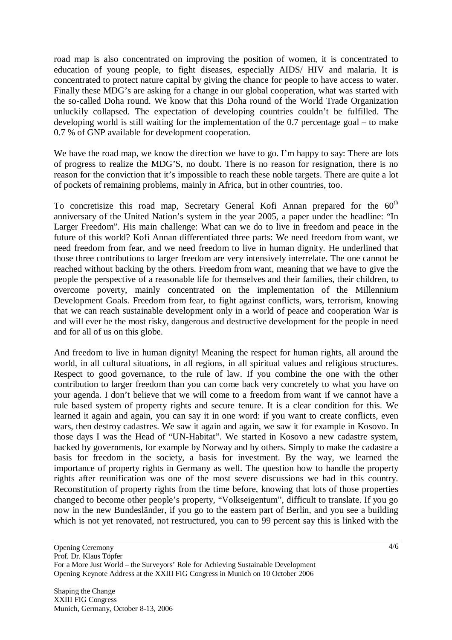road map is also concentrated on improving the position of women, it is concentrated to education of young people, to fight diseases, especially AIDS/ HIV and malaria. It is concentrated to protect nature capital by giving the chance for people to have access to water. Finally these MDG's are asking for a change in our global cooperation, what was started with the so-called Doha round. We know that this Doha round of the World Trade Organization unluckily collapsed. The expectation of developing countries couldn't be fulfilled. The developing world is still waiting for the implementation of the 0.7 percentage goal – to make 0.7 % of GNP available for development cooperation.

We have the road map, we know the direction we have to go. I'm happy to say: There are lots of progress to realize the MDG'S, no doubt. There is no reason for resignation, there is no reason for the conviction that it's impossible to reach these noble targets. There are quite a lot of pockets of remaining problems, mainly in Africa, but in other countries, too.

To concretisize this road map, Secretary General Kofi Annan prepared for the 60<sup>th</sup> anniversary of the United Nation's system in the year 2005, a paper under the headline: "In Larger Freedom". His main challenge: What can we do to live in freedom and peace in the future of this world? Kofi Annan differentiated three parts: We need freedom from want, we need freedom from fear, and we need freedom to live in human dignity. He underlined that those three contributions to larger freedom are very intensively interrelate. The one cannot be reached without backing by the others. Freedom from want, meaning that we have to give the people the perspective of a reasonable life for themselves and their families, their children, to overcome poverty, mainly concentrated on the implementation of the Millennium Development Goals. Freedom from fear, to fight against conflicts, wars, terrorism, knowing that we can reach sustainable development only in a world of peace and cooperation War is and will ever be the most risky, dangerous and destructive development for the people in need and for all of us on this globe.

And freedom to live in human dignity! Meaning the respect for human rights, all around the world, in all cultural situations, in all regions, in all spiritual values and religious structures. Respect to good governance, to the rule of law. If you combine the one with the other contribution to larger freedom than you can come back very concretely to what you have on your agenda. I don't believe that we will come to a freedom from want if we cannot have a rule based system of property rights and secure tenure. It is a clear condition for this. We learned it again and again, you can say it in one word: if you want to create conflicts, even wars, then destroy cadastres. We saw it again and again, we saw it for example in Kosovo. In those days I was the Head of "UN-Habitat". We started in Kosovo a new cadastre system, backed by governments, for example by Norway and by others. Simply to make the cadastre a basis for freedom in the society, a basis for investment. By the way, we learned the importance of property rights in Germany as well. The question how to handle the property rights after reunification was one of the most severe discussions we had in this country. Reconstitution of property rights from the time before, knowing that lots of those properties changed to become other people's property, "Volkseigentum", difficult to translate. If you go now in the new Bundesländer, if you go to the eastern part of Berlin, and you see a building which is not yet renovated, not restructured, you can to 99 percent say this is linked with the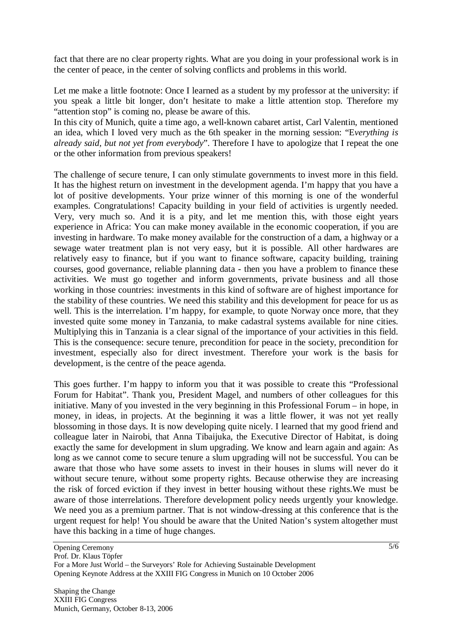fact that there are no clear property rights. What are you doing in your professional work is in the center of peace, in the center of solving conflicts and problems in this world.

Let me make a little footnote: Once I learned as a student by my professor at the university: if you speak a little bit longer, don't hesitate to make a little attention stop. Therefore my "attention stop" is coming no, please be aware of this.

In this city of Munich, quite a time ago, a well-known cabaret artist, Carl Valentin, mentioned an idea, which I loved very much as the 6th speaker in the morning session: "E*verything is already said, but not yet from everybody*". Therefore I have to apologize that I repeat the one or the other information from previous speakers!

The challenge of secure tenure, I can only stimulate governments to invest more in this field. It has the highest return on investment in the development agenda. I'm happy that you have a lot of positive developments. Your prize winner of this morning is one of the wonderful examples. Congratulations! Capacity building in your field of activities is urgently needed. Very, very much so. And it is a pity, and let me mention this, with those eight years experience in Africa: You can make money available in the economic cooperation, if you are investing in hardware. To make money available for the construction of a dam, a highway or a sewage water treatment plan is not very easy, but it is possible. All other hardwares are relatively easy to finance, but if you want to finance software, capacity building, training courses, good governance, reliable planning data - then you have a problem to finance these activities. We must go together and inform governments, private business and all those working in those countries: investments in this kind of software are of highest importance for the stability of these countries. We need this stability and this development for peace for us as well. This is the interrelation. I'm happy, for example, to quote Norway once more, that they invested quite some money in Tanzania, to make cadastral systems available for nine cities. Multiplying this in Tanzania is a clear signal of the importance of your activities in this field. This is the consequence: secure tenure, precondition for peace in the society, precondition for investment, especially also for direct investment. Therefore your work is the basis for development, is the centre of the peace agenda.

This goes further. I'm happy to inform you that it was possible to create this "Professional Forum for Habitat". Thank you, President Magel, and numbers of other colleagues for this initiative. Many of you invested in the very beginning in this Professional Forum – in hope, in money, in ideas, in projects. At the beginning it was a little flower, it was not yet really blossoming in those days. It is now developing quite nicely. I learned that my good friend and colleague later in Nairobi, that Anna Tibaijuka, the Executive Director of Habitat, is doing exactly the same for development in slum upgrading. We know and learn again and again: As long as we cannot come to secure tenure a slum upgrading will not be successful. You can be aware that those who have some assets to invest in their houses in slums will never do it without secure tenure, without some property rights. Because otherwise they are increasing the risk of forced eviction if they invest in better housing without these rights.We must be aware of those interrelations. Therefore development policy needs urgently your knowledge. We need you as a premium partner. That is not window-dressing at this conference that is the urgent request for help! You should be aware that the United Nation's system altogether must have this backing in a time of huge changes.